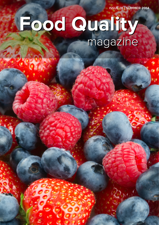ISSUE 01 | SUMMER 2014

## Food Quality magazine